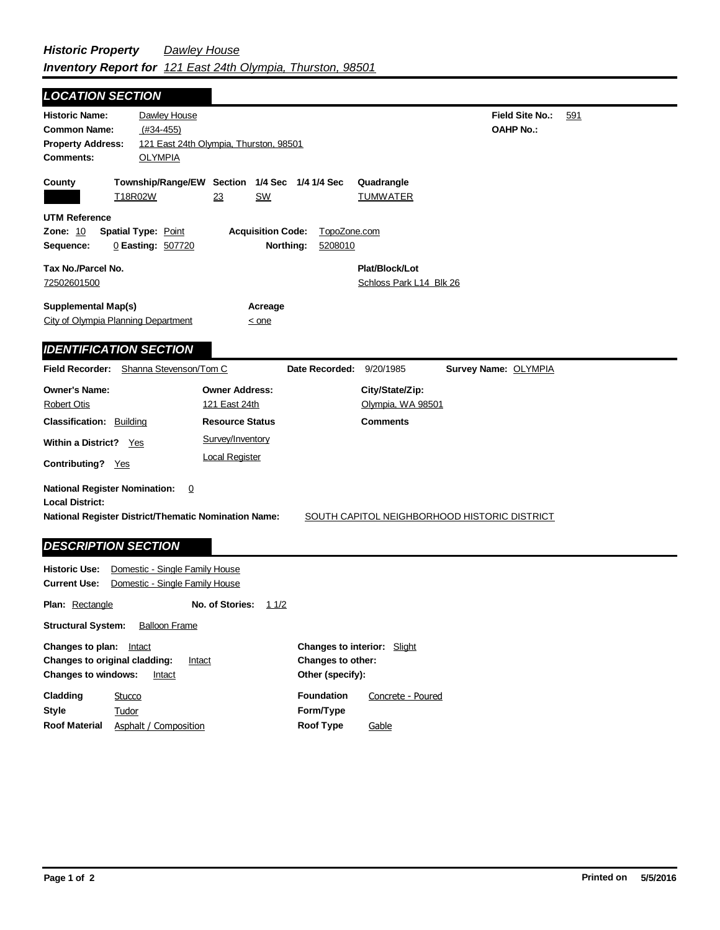| <b>LOCATION SECTION</b>                                                                                                                              |                                                                  |                                                                                                               |                          |                                                         |                                              |     |
|------------------------------------------------------------------------------------------------------------------------------------------------------|------------------------------------------------------------------|---------------------------------------------------------------------------------------------------------------|--------------------------|---------------------------------------------------------|----------------------------------------------|-----|
| <b>Historic Name:</b><br><b>Common Name:</b><br><b>Property Address:</b><br><b>Comments:</b>                                                         | Dawley House<br>$(H34-455)$<br><b>OLYMPIA</b>                    | 121 East 24th Olympia, Thurston, 98501                                                                        |                          |                                                         | <b>Field Site No.:</b><br><b>OAHP No.:</b>   | 591 |
| County                                                                                                                                               | Township/Range/EW Section 1/4 Sec 1/4 1/4 Sec<br>T18R02W         | 23<br><b>SW</b>                                                                                               |                          | Quadrangle<br><b>TUMWATER</b>                           |                                              |     |
| <b>UTM Reference</b><br><b>Zone: 10</b><br>Sequence:                                                                                                 | <b>Spatial Type: Point</b><br>0 Easting: 507720                  | <b>Acquisition Code:</b><br>Northing:                                                                         | TopoZone.com<br>5208010  |                                                         |                                              |     |
| Tax No./Parcel No.<br>72502601500                                                                                                                    |                                                                  |                                                                                                               |                          | Plat/Block/Lot<br>Schloss Park L14 Blk 26               |                                              |     |
| <b>Supplemental Map(s)</b><br>City of Olympia Planning Department                                                                                    |                                                                  | Acreage<br>$\leq$ one                                                                                         |                          |                                                         |                                              |     |
| <b>IDENTIFICATION SECTION</b><br>Field Recorder: Shanna Stevenson/Tom C                                                                              |                                                                  |                                                                                                               | Date Recorded: 9/20/1985 |                                                         | Survey Name: OLYMPIA                         |     |
| <b>Owner's Name:</b><br><b>Robert Otis</b><br><b>Classification: Building</b><br>Within a District? Yes<br>Contributing? Yes                         |                                                                  | <b>Owner Address:</b><br>121 East 24th<br><b>Resource Status</b><br>Survey/Inventory<br><b>Local Register</b> |                          | City/State/Zip:<br>Olympia, WA 98501<br><b>Comments</b> |                                              |     |
| <b>National Register Nomination:</b><br><b>Local District:</b><br>National Register District/Thematic Nomination Name:<br><b>DESCRIPTION SECTION</b> | $\mathbf 0$                                                      |                                                                                                               |                          |                                                         | SOUTH CAPITOL NEIGHBORHOOD HISTORIC DISTRICT |     |
| <b>Historic Use:</b><br>Current Use:                                                                                                                 | Domestic - Single Family House<br>Domestic - Single Family House |                                                                                                               |                          |                                                         |                                              |     |

**Plan:** Rectangle **Structural System:** Balloon Frame **No. of Stories:** 11/2 Changes to plan: **Intact Changes to interior:** Slight

| Changes to original cladding:<br><b>Changes to windows:</b><br>Intact |                       | Changes to other:<br>Intact<br>Other (specify): |                   |                   |  |
|-----------------------------------------------------------------------|-----------------------|-------------------------------------------------|-------------------|-------------------|--|
| Cladding                                                              | Stucco                |                                                 | <b>Foundation</b> | Concrete - Poured |  |
| <b>Stvle</b>                                                          | Tudor                 |                                                 | Form/Type         |                   |  |
| <b>Roof Material</b>                                                  | Asphalt / Composition |                                                 | Roof Type         | Gable             |  |